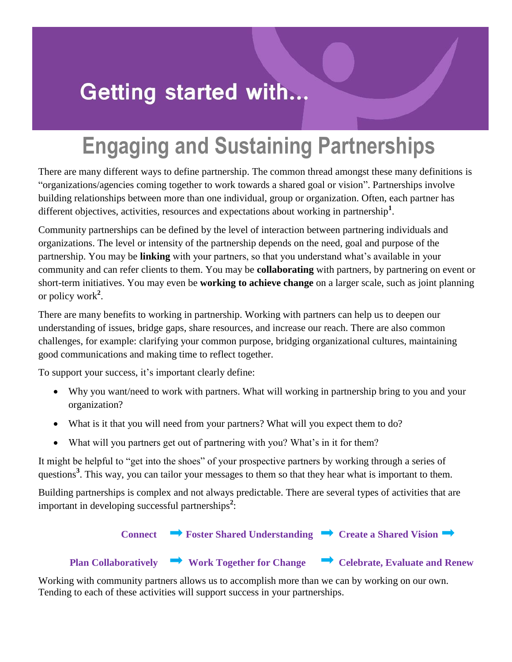# **Getting started with...**

# **Engaging and Sustaining Partnerships**

There are many different ways to define partnership. The common thread amongst these many definitions is "organizations/agencies coming together to work towards a shared goal or vision". Partnerships involve building relationships between more than one individual, group or organization. Often, each partner has different objectives, activities, resources and expectations about working in partnership**<sup>1</sup>** .

Community partnerships can be defined by the level of interaction between partnering individuals and organizations. The level or intensity of the partnership depends on the need, goal and purpose of the partnership. You may be **linking** with your partners, so that you understand what's available in your community and can refer clients to them. You may be **collaborating** with partners, by partnering on event or short-term initiatives. You may even be **working to achieve change** on a larger scale, such as joint planning or policy work**<sup>2</sup>** .

There are many benefits to working in partnership. Working with partners can help us to deepen our understanding of issues, bridge gaps, share resources, and increase our reach. There are also common challenges, for example: clarifying your common purpose, bridging organizational cultures, maintaining good communications and making time to reflect together.

To support your success, it's important clearly define:

- Why you want/need to work with partners. What will working in partnership bring to you and your organization?
- What is it that you will need from your partners? What will you expect them to do?
- What will you partners get out of partnering with you? What's in it for them?

It might be helpful to "get into the shoes" of your prospective partners by working through a series of questions**<sup>3</sup>** . This way, you can tailor your messages to them so that they hear what is important to them.

Building partnerships is complex and not always predictable. There are several types of activities that are important in developing successful partnerships**<sup>2</sup>** :



#### **Plan Collaboratively**  $\rightarrow$  Work Together for Change  $\rightarrow$  Celebrate, Evaluate and Renew

Working with community partners allows us to accomplish more than we can by working on our own. Tending to each of these activities will support success in your partnerships.